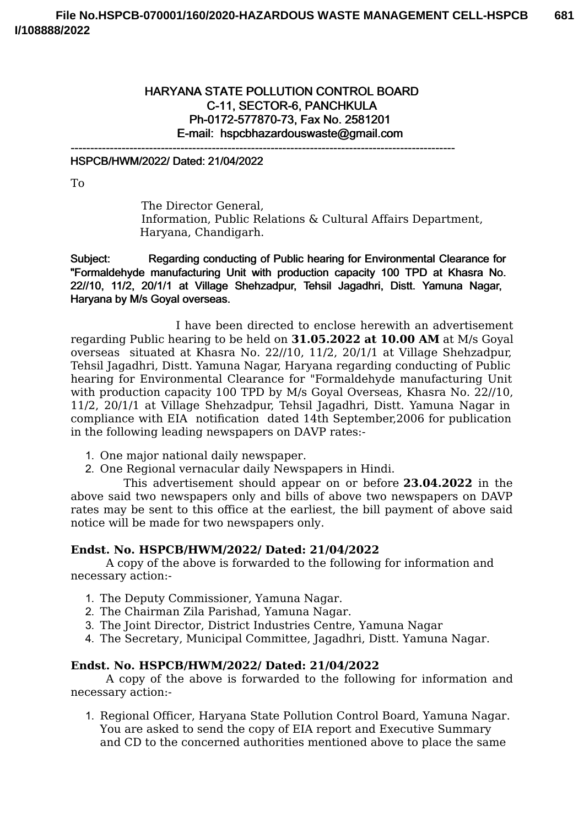# HARYANA STATE POLLUTION CONTROL BOARD C-11, SECTOR-6, PANCHKULA Ph-0172-577870-73, Fax No. 2581201 E-mail: hspcbhazardouswaste@gmail.com

--------------------------------------------------------------------------------------------------

#### HSPCB/HWM/2022/ Dated: 21/04/2022

To

The Director General, Information, Public Relations & Cultural Affairs Department, Haryana, Chandigarh.

Subject: Regarding conducting of Public hearing for Environmental Clearance for "Formaldehyde manufacturing Unit with production capacity 100 TPD at Khasra No. 22//10, 11/2, 20/1/1 at Village Shehzadpur, Tehsil Jagadhri, Distt. Yamuna Nagar, Haryana by M/s Goyal overseas.

I have been directed to enclose herewith an advertisement regarding Public hearing to be held on **31.05.2022 at 10.00 AM** at M/s Goyal overseas situated at Khasra No. 22//10, 11/2, 20/1/1 at Village Shehzadpur, Tehsil Jagadhri, Distt. Yamuna Nagar, Haryana regarding conducting of Public hearing for Environmental Clearance for "Formaldehyde manufacturing Unit with production capacity 100 TPD by M/s Goyal Overseas, Khasra No. 22//10, 11/2, 20/1/1 at Village Shehzadpur, Tehsil Jagadhri, Distt. Yamuna Nagar in compliance with EIA notification dated 14th September,2006 for publication in the following leading newspapers on DAVP rates:-

- 1. One major national daily newspaper.
- 2. One Regional vernacular daily Newspapers in Hindi.

This advertisement should appear on or before **23.04.2022** in the above said two newspapers only and bills of above two newspapers on DAVP rates may be sent to this office at the earliest, the bill payment of above said notice will be made for two newspapers only.

### **Endst. No. HSPCB/HWM/2022/ Dated: 21/04/2022**

A copy of the above is forwarded to the following for information and necessary action:-

- 1. The Deputy Commissioner, Yamuna Nagar.
- 2. The Chairman Zila Parishad, Yamuna Nagar.
- 3. The Joint Director, District Industries Centre, Yamuna Nagar
- 4. The Secretary, Municipal Committee, Jagadhri, Distt. Yamuna Nagar.

#### **Endst. No. HSPCB/HWM/2022/ Dated: 21/04/2022**

A copy of the above is forwarded to the following for information and necessary action:-

1. Regional Officer, Haryana State Pollution Control Board, Yamuna Nagar. You are asked to send the copy of EIA report and Executive Summary and CD to the concerned authorities mentioned above to place the same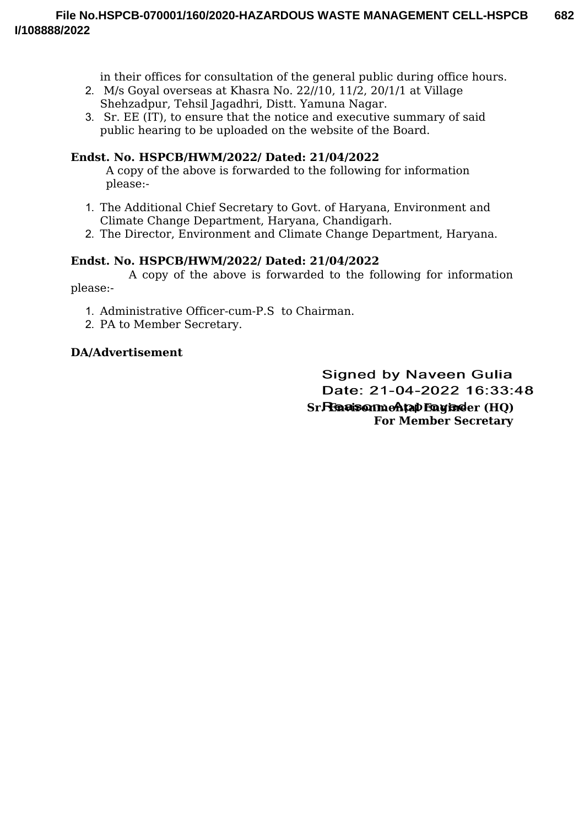in their offices for consultation of the general public during office hours.

- 2. M/s Goyal overseas at Khasra No. 22//10, 11/2, 20/1/1 at Village Shehzadpur, Tehsil Jagadhri, Distt. Yamuna Nagar.
- 3. Sr. EE (IT), to ensure that the notice and executive summary of said public hearing to be uploaded on the website of the Board.

## **Endst. No. HSPCB/HWM/2022/ Dated: 21/04/2022**

A copy of the above is forwarded to the following for information please:-

- 1. The Additional Chief Secretary to Govt. of Haryana, Environment and Climate Change Department, Haryana, Chandigarh.
- 2. The Director, Environment and Climate Change Department, Haryana.

## **Endst. No. HSPCB/HWM/2022/ Dated: 21/04/2022**

A copy of the above is forwarded to the following for information please:-

- 1. Administrative Officer-cum-P.S to Chairman.
- 2. PA to Member Secretary.

## **DA/Advertisement**

**Signed by Naveen Gulia** Date: 21-04-2022 16:33:48 **Sr. Environmental Engineer (HQ) For Member Secretary**